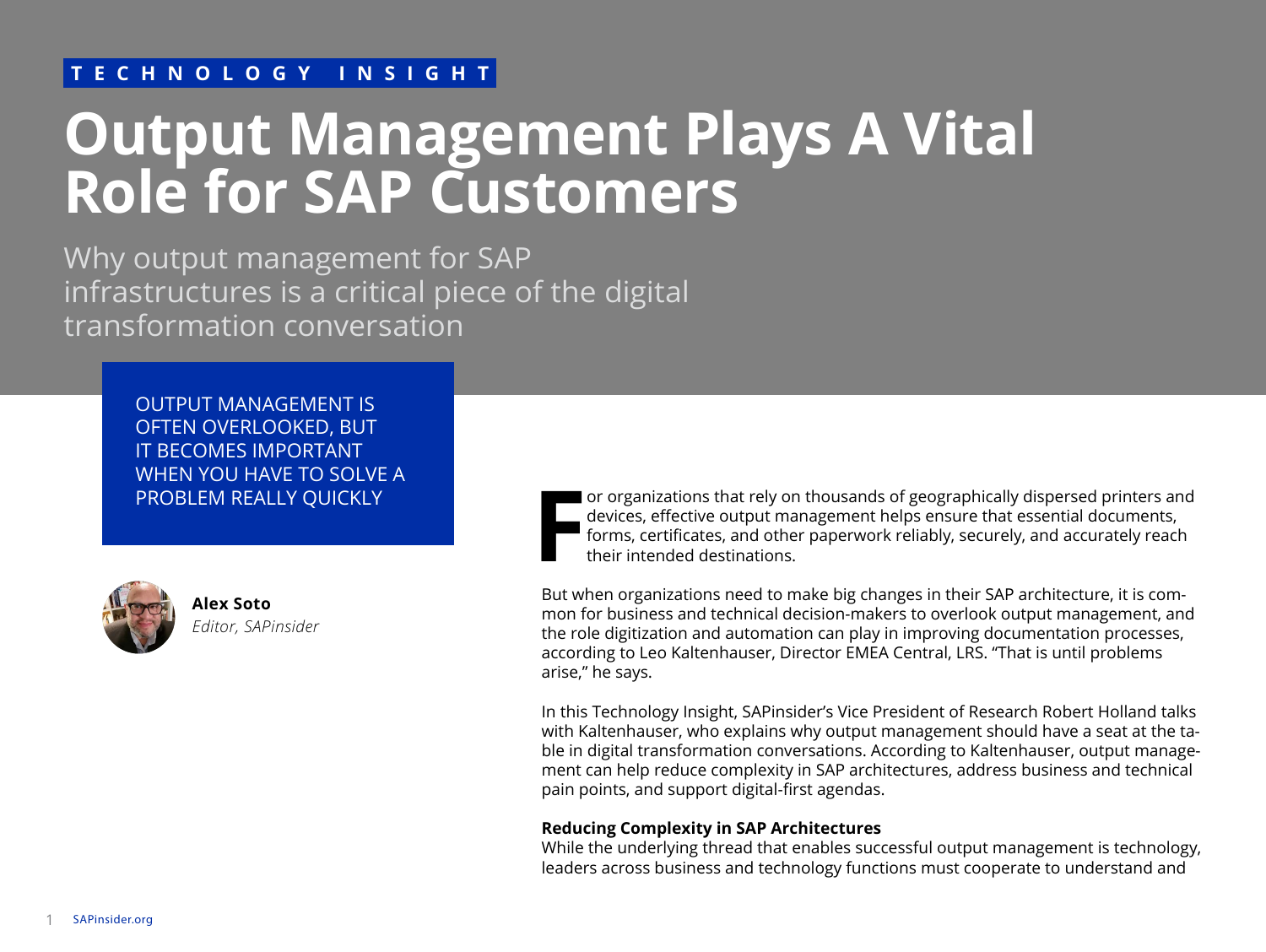### **TECHNOLOGY INSIGHT**

# **Output Management Plays A Vital Role for SAP Customers**

Why output management for SAP infrastructures is a critical piece of the digital transformation conversation

> OUTPUT MANAGEMENT IS OFTEN OVERLOOKED, BUT IT BECOMES IMPORTANT WHEN YOU HAVE TO SOLVE A PROBLEM REALLY QUICKLY



**Alex Soto** *Editor, SAPinsider* **F** or organizations that rely on thousands of geographically dispersed printers and devices, effective output management helps ensure that essential documents, forms, certificates, and other paperwork reliably, securely, and accurately reach their intended destinations.

But when organizations need to make big changes in their SAP architecture, it is common for business and technical decision-makers to overlook output management, and the role digitization and automation can play in improving documentation processes, according to Leo Kaltenhauser, Director EMEA Central, LRS. "That is until problems arise," he says.

In this Technology Insight, SAPinsider's Vice President of Research Robert Holland talks with Kaltenhauser, who explains why output management should have a seat at the table in digital transformation conversations. According to Kaltenhauser, output management can help reduce complexity in SAP architectures, address business and technical pain points, and support digital-first agendas.

#### **Reducing Complexity in SAP Architectures**

While the underlying thread that enables successful output management is technology, leaders across business and technology functions must cooperate to understand and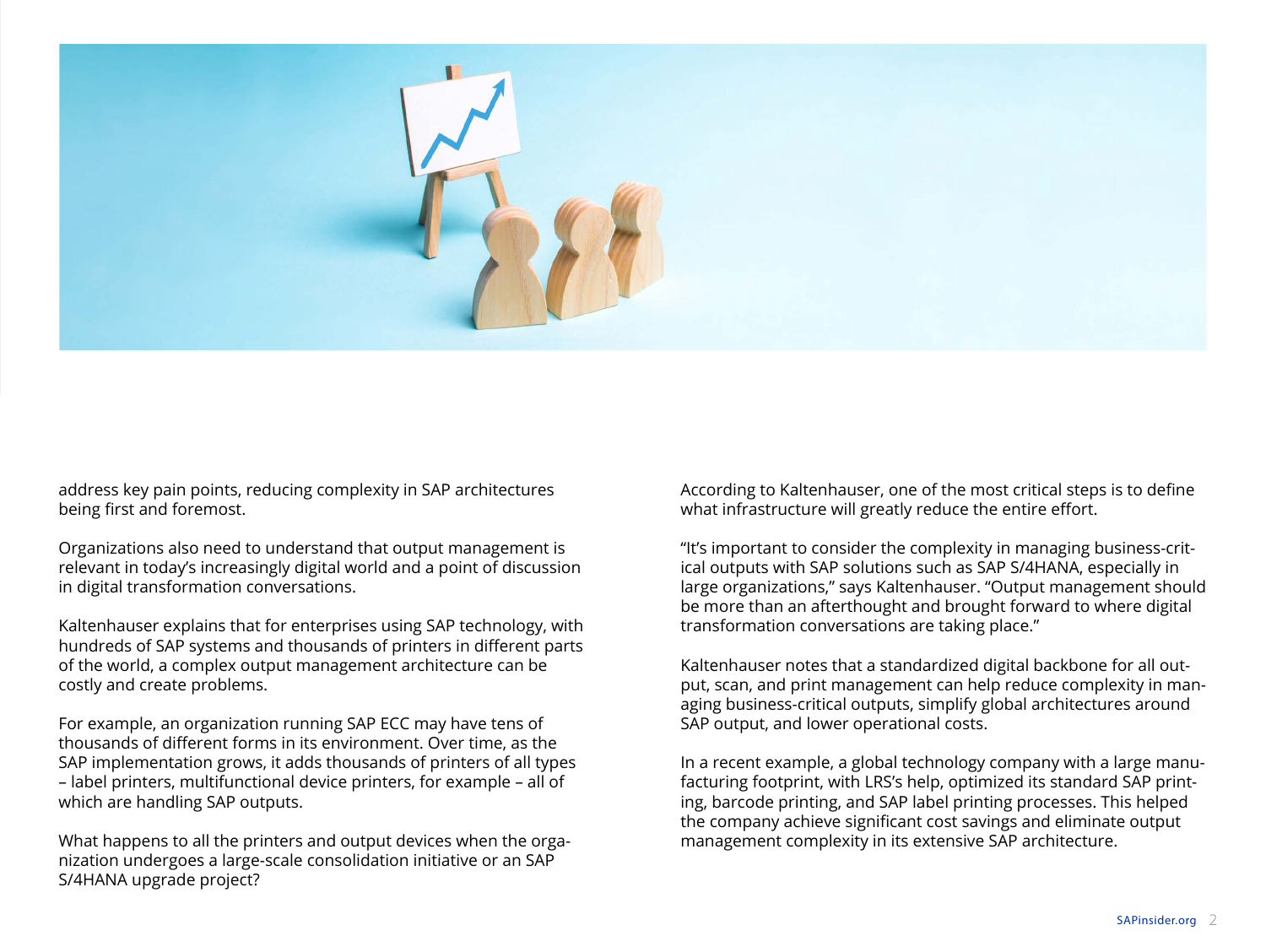

address key pain points, reducing complexity in SAP architectures being first and foremost.

Organizations also need to understand that output management is relevant in today's increasingly digital world and a point of discussion in digital transformation conversations.

Kaltenhauser explains that for enterprises using SAP technology, with hundreds of SAP systems and thousands of printers in different parts of the world, a complex output management architecture can be costly and create problems.

For example, an organization running SAP ECC may have tens of thousands of different forms in its environment. Over time, as the SAP implementation grows, it adds thousands of printers of all types – label printers, multifunctional device printers, for example – all of which are handling SAP outputs.

What happens to all the printers and output devices when the organization undergoes a large-scale consolidation initiative or an SAP S/4HANA upgrade project?

According to Kaltenhauser, one of the most critical steps is to define what infrastructure will greatly reduce the entire effort.

"It's important to consider the complexity in managing business-critical outputs with SAP solutions such as SAP S/4HANA, especially in large organizations," says Kaltenhauser. "Output management should be more than an afterthought and brought forward to where digital transformation conversations are taking place."

Kaltenhauser notes that a standardized digital backbone for all output, scan, and print management can help reduce complexity in managing business-critical outputs, simplify global architectures around SAP output, and lower operational costs.

In a recent example, a global technology company with a large manufacturing footprint, with LRS's help, optimized its standard SAP printing, barcode printing, and SAP label printing processes. This helped the company achieve significant cost savings and eliminate output management complexity in its extensive SAP architecture.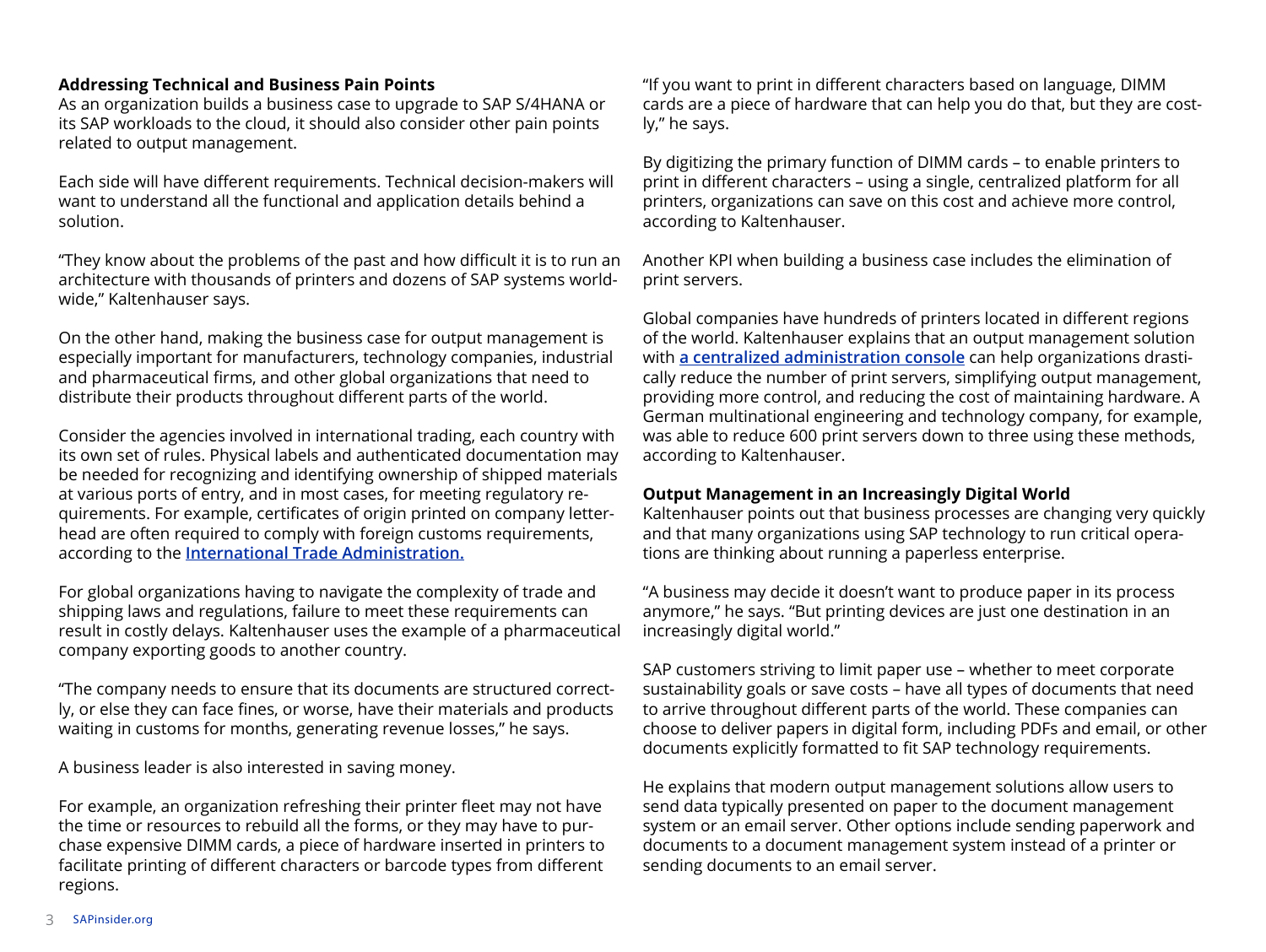#### **Addressing Technical and Business Pain Points**

As an organization builds a business case to upgrade to SAP S/4HANA or its SAP workloads to the cloud, it should also consider other pain points related to output management.

Each side will have different requirements. Technical decision-makers will want to understand all the functional and application details behind a solution.

"They know about the problems of the past and how difficult it is to run an architecture with thousands of printers and dozens of SAP systems worldwide," Kaltenhauser says.

On the other hand, making the business case for output management is especially important for manufacturers, technology companies, industrial and pharmaceutical firms, and other global organizations that need to distribute their products throughout different parts of the world.

Consider the agencies involved in international trading, each country with its own set of rules. Physical labels and authenticated documentation may be needed for recognizing and identifying ownership of shipped materials at various ports of entry, and in most cases, for meeting regulatory requirements. For example, certificates of origin printed on company letterhead are often required to comply with foreign customs requirements, according to the **[International Trade Administration.](https://www.trade.gov/special-documents)**

For global organizations having to navigate the complexity of trade and shipping laws and regulations, failure to meet these requirements can result in costly delays. Kaltenhauser uses the example of a pharmaceutical company exporting goods to another country.

"The company needs to ensure that its documents are structured correctly, or else they can face fines, or worse, have their materials and products waiting in customs for months, generating revenue losses," he says.

A business leader is also interested in saving money.

For example, an organization refreshing their printer fleet may not have the time or resources to rebuild all the forms, or they may have to purchase expensive DIMM cards, a piece of hardware inserted in printers to facilitate printing of different characters or barcode types from different regions.

"If you want to print in different characters based on language, DIMM cards are a piece of hardware that can help you do that, but they are costly," he says.

By digitizing the primary function of DIMM cards – to enable printers to print in different characters – using a single, centralized platform for all printers, organizations can save on this cost and achieve more control, according to Kaltenhauser.

Another KPI when building a business case includes the elimination of print servers.

Global companies have hundreds of printers located in different regions of the world. Kaltenhauser explains that an output management solution with **[a centralized administration console](https://sapinsider.org/vendor-showcase/lrs/)** can help organizations drastically reduce the number of print servers, simplifying output management, providing more control, and reducing the cost of maintaining hardware. A German multinational engineering and technology company, for example, was able to reduce 600 print servers down to three using these methods, according to Kaltenhauser.

#### **Output Management in an Increasingly Digital World**

Kaltenhauser points out that business processes are changing very quickly and that many organizations using SAP technology to run critical operations are thinking about running a paperless enterprise.

"A business may decide it doesn't want to produce paper in its process anymore," he says. "But printing devices are just one destination in an increasingly digital world."

SAP customers striving to limit paper use – whether to meet corporate sustainability goals or save costs – have all types of documents that need to arrive throughout different parts of the world. These companies can choose to deliver papers in digital form, including PDFs and email, or other documents explicitly formatted to fit SAP technology requirements.

He explains that modern output management solutions allow users to send data typically presented on paper to the document management system or an email server. Other options include sending paperwork and documents to a document management system instead of a printer or sending documents to an email server.